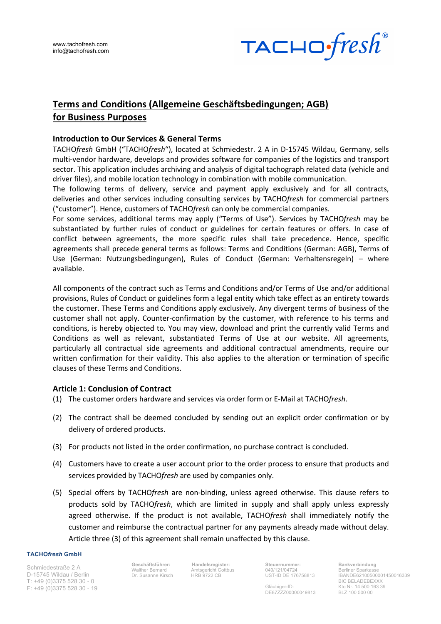

# **Terms and Conditions (Allgemeine Geschäftsbedingungen; AGB) for Business Purposes**

### **Introduction to Our Services & General Terms**

TACHO*fresh* GmbH ("TACHO*fresh*"), located at Schmiedestr. 2 A in D-15745 Wildau, Germany, sells multi-vendor hardware, develops and provides software for companies of the logistics and transport sector. This application includes archiving and analysis of digital tachograph related data (vehicle and driver files), and mobile location technology in combination with mobile communication.

The following terms of delivery, service and payment apply exclusively and for all contracts, deliveries and other services including consulting services by TACHO*fresh* for commercial partners ("customer"). Hence, customers of TACHO*fresh* can only be commercial companies.

For some services, additional terms may apply ("Terms of Use"). Services by TACHO*fresh* may be substantiated by further rules of conduct or guidelines for certain features or offers. In case of conflict between agreements, the more specific rules shall take precedence. Hence, specific agreements shall precede general terms as follows: Terms and Conditions (German: AGB), Terms of Use (German: Nutzungsbedingungen), Rules of Conduct (German: Verhaltensregeln) – where available.

All components of the contract such as Terms and Conditions and/or Terms of Use and/or additional provisions, Rules of Conduct or guidelines form a legal entity which take effect as an entirety towards the customer. These Terms and Conditions apply exclusively. Any divergent terms of business of the customer shall not apply. Counter-confirmation by the customer, with reference to his terms and conditions, is hereby objected to. You may view, download and print the currently valid Terms and Conditions as well as relevant, substantiated Terms of Use at our website. All agreements, particularly all contractual side agreements and additional contractual amendments, require our written confirmation for their validity. This also applies to the alteration or termination of specific clauses of these Terms and Conditions.

# **Article 1: Conclusion of Contract**

- (1) The customer orders hardware and services via order form or E-Mail at TACHO*fresh*.
- (2) The contract shall be deemed concluded by sending out an explicit order confirmation or by delivery of ordered products.
- (3) For products not listed in the order confirmation, no purchase contract is concluded.
- (4) Customers have to create a user account prior to the order process to ensure that products and services provided by TACHO*fresh* are used by companies only.
- (5) Special offers by TACHO*fresh* are non-binding, unless agreed otherwise. This clause refers to products sold by TACHO*fresh*, which are limited in supply and shall apply unless expressly agreed otherwise. If the product is not available, TACHO*fresh* shall immediately notify the customer and reimburse the contractual partner for any payments already made without delay. Article three (3) of this agreement shall remain unaffected by this clause.

### **TACHO***fresh* **GmbH**

Schmiedestraße 2 A D-15745 Wildau / Berlin T: +49 (0)3375 528 30 - 0 F: +49 (0)3375 528 30 - 19 **Geschäftsführer:** Walther Bernard Dr. Susanne Kirsch

**Handelsregister:**  Amtsgericht Cottbus **HRB** 9722 CB

**Steuernummer:** 049/121/04724 UST-ID DE 176758813

Gläubiger-ID: DE87ZZZ00000049813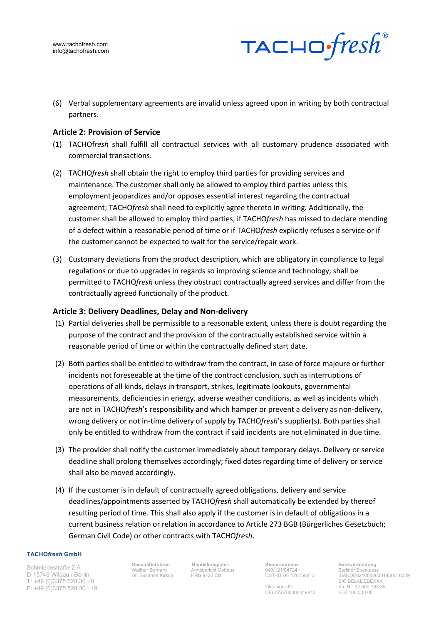

(6) Verbal supplementary agreements are invalid unless agreed upon in writing by both contractual partners.

### **Article 2: Provision of Service**

- (1) TACHOf*resh* shall fulfill all contractual services with all customary prudence associated with commercial transactions.
- (2) TACHO*fresh* shall obtain the right to employ third parties for providing services and maintenance. The customer shall only be allowed to employ third parties unless this employment jeopardizes and/or opposes essential interest regarding the contractual agreement; TACHO*fresh* shall need to explicitly agree thereto in writing. Additionally, the customer shall be allowed to employ third parties, if TACHO*fresh* has missed to declare mending of a defect within a reasonable period of time or if TACHO*fresh* explicitly refuses a service or if the customer cannot be expected to wait for the service/repair work.
- (3) Customary deviations from the product description, which are obligatory in compliance to legal regulations or due to upgrades in regards so improving science and technology, shall be permitted to TACHO*fresh* unless they obstruct contractually agreed services and differ from the contractually agreed functionally of the product.

### **Article 3: Delivery Deadlines, Delay and Non-delivery**

- (1) Partial deliveries shall be permissible to a reasonable extent, unless there is doubt regarding the purpose of the contract and the provision of the contractually established service within a reasonable period of time or within the contractually defined start date.
- (2) Both parties shall be entitled to withdraw from the contract, in case of force majeure or further incidents not foreseeable at the time of the contract conclusion, such as interruptions of operations of all kinds, delays in transport, strikes, legitimate lookouts, governmental measurements, deficiencies in energy, adverse weather conditions, as well as incidents which are not in TACHO*fresh*'s responsibility and which hamper or prevent a delivery as non-delivery, wrong delivery or not in-time delivery of supply by TACHO*fresh*'s supplier(s). Both parties shall only be entitled to withdraw from the contract if said incidents are not eliminated in due time.
- (3) The provider shall notify the customer immediately about temporary delays. Delivery or service deadline shall prolong themselves accordingly; fixed dates regarding time of delivery or service shall also be moved accordingly.
- (4) If the customer is in default of contractually agreed obligations, delivery and service deadlines/appointments asserted by TACHO*fresh* shall automatically be extended by thereof resulting period of time. This shall also apply if the customer is in default of obligations in a current business relation or relation in accordance to Article 273 BGB (Bürgerliches Gesetzbuch; German Civil Code) or other contracts with TACHO*fresh*.

#### **TACHO***fresh* **GmbH**

Schmiedestraße 2 A D-15745 Wildau / Berlin T: +49 (0)3375 528 30 - 0 F: +49 (0)3375 528 30 - 19 **Geschäftsführer:** Walther Bernard Dr. Susanne Kirsch

**Handelsregister:**  Amtsgericht Cottbus HRB 9722 CB

**Steuernummer:** 049/121/04724 UST-ID DE 176758813

Gläubiger-ID: DE87ZZZ00000049813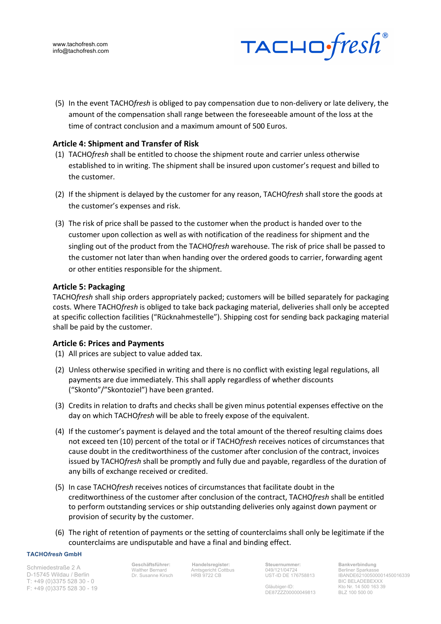

(5) In the event TACHO*fresh* is obliged to pay compensation due to non-delivery or late delivery, the amount of the compensation shall range between the foreseeable amount of the loss at the time of contract conclusion and a maximum amount of 500 Euros.

# **Article 4: Shipment and Transfer of Risk**

- (1) TACHO*fresh* shall be entitled to choose the shipment route and carrier unless otherwise established to in writing. The shipment shall be insured upon customer's request and billed to the customer.
- (2) If the shipment is delayed by the customer for any reason, TACHO*fresh* shall store the goods at the customer's expenses and risk.
- (3) The risk of price shall be passed to the customer when the product is handed over to the customer upon collection as well as with notification of the readiness for shipment and the singling out of the product from the TACHO*fresh* warehouse. The risk of price shall be passed to the customer not later than when handing over the ordered goods to carrier, forwarding agent or other entities responsible for the shipment.

### **Article 5: Packaging**

TACHO*fresh* shall ship orders appropriately packed; customers will be billed separately for packaging costs. Where TACHO*fresh* is obliged to take back packaging material, deliveries shall only be accepted at specific collection facilities ("Rücknahmestelle"). Shipping cost for sending back packaging material shall be paid by the customer.

### **Article 6: Prices and Payments**

- (1) All prices are subject to value added tax.
- (2) Unless otherwise specified in writing and there is no conflict with existing legal regulations, all payments are due immediately. This shall apply regardless of whether discounts ("Skonto"/"Skontoziel") have been granted.
- (3) Credits in relation to drafts and checks shall be given minus potential expenses effective on the day on which TACHO*fresh* will be able to freely expose of the equivalent.
- (4) If the customer's payment is delayed and the total amount of the thereof resulting claims does not exceed ten (10) percent of the total or if TACHO*fresh* receives notices of circumstances that cause doubt in the creditworthiness of the customer after conclusion of the contract, invoices issued by TACHO*fresh* shall be promptly and fully due and payable, regardless of the duration of any bills of exchange received or credited.
- (5) In case TACHO*fresh* receives notices of circumstances that facilitate doubt in the creditworthiness of the customer after conclusion of the contract, TACHO*fresh* shall be entitled to perform outstanding services or ship outstanding deliveries only against down payment or provision of security by the customer.
- (6) The right of retention of payments or the setting of counterclaims shall only be legitimate if the counterclaims are undisputable and have a final and binding effect.

#### **TACHO***fresh* **GmbH**

Schmiedestraße 2 A D-15745 Wildau / Berlin T: +49 (0)3375 528 30 - 0 F: +49 (0)3375 528 30 - 19 **Geschäftsführer:** Walther Bernard Dr. Susanne Kirsch

**Handelsregister:**  Amtsgericht Cottbus HRB 9722 CB

**Steuernummer:** 049/121/04724 UST-ID DE 176758813

Gläubiger-ID: DE87ZZZ00000049813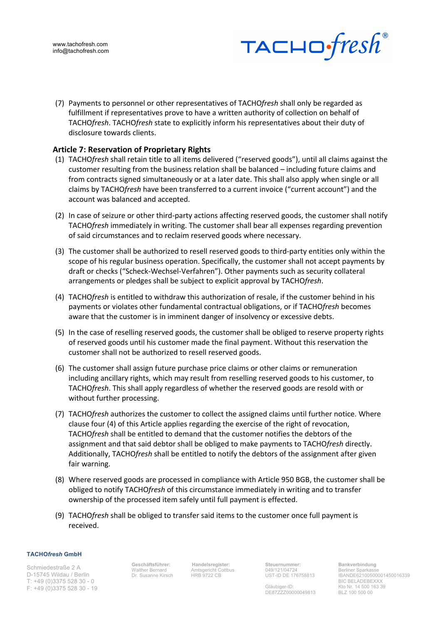

(7) Payments to personnel or other representatives of TACHO*fresh* shall only be regarded as fulfillment if representatives prove to have a written authority of collection on behalf of TACHO*fresh*. TACHO*fresh* state to explicitly inform his representatives about their duty of disclosure towards clients.

# **Article 7: Reservation of Proprietary Rights**

- (1) TACHO*fresh* shall retain title to all items delivered ("reserved goods"), until all claims against the customer resulting from the business relation shall be balanced – including future claims and from contracts signed simultaneously or at a later date. This shall also apply when single or all claims by TACHO*fresh* have been transferred to a current invoice ("current account") and the account was balanced and accepted.
- (2) In case of seizure or other third-party actions affecting reserved goods, the customer shall notify TACHO*fresh* immediately in writing. The customer shall bear all expenses regarding prevention of said circumstances and to reclaim reserved goods where necessary.
- (3) The customer shall be authorized to resell reserved goods to third-party entities only within the scope of his regular business operation. Specifically, the customer shall not accept payments by draft or checks ("Scheck-Wechsel-Verfahren"). Other payments such as security collateral arrangements or pledges shall be subject to explicit approval by TACHO*fresh*.
- (4) TACHO*fresh* is entitled to withdraw this authorization of resale, if the customer behind in his payments or violates other fundamental contractual obligations, or if TACHO*fresh* becomes aware that the customer is in imminent danger of insolvency or excessive debts.
- (5) In the case of reselling reserved goods, the customer shall be obliged to reserve property rights of reserved goods until his customer made the final payment. Without this reservation the customer shall not be authorized to resell reserved goods.
- (6) The customer shall assign future purchase price claims or other claims or remuneration including ancillary rights, which may result from reselling reserved goods to his customer, to TACHO*fresh*. This shall apply regardless of whether the reserved goods are resold with or without further processing.
- (7) TACHO*fresh* authorizes the customer to collect the assigned claims until further notice. Where clause four (4) of this Article applies regarding the exercise of the right of revocation, TACHO*fresh* shall be entitled to demand that the customer notifies the debtors of the assignment and that said debtor shall be obliged to make payments to TACHO*fresh* directly. Additionally, TACHO*fresh* shall be entitled to notify the debtors of the assignment after given fair warning.
- (8) Where reserved goods are processed in compliance with Article 950 BGB, the customer shall be obliged to notify TACHO*fresh* of this circumstance immediately in writing and to transfer ownership of the processed item safely until full payment is effected.
- (9) TACHO*fresh* shall be obliged to transfer said items to the customer once full payment is received.

#### **TACHO***fresh* **GmbH**

Schmiedestraße 2 A D-15745 Wildau / Berlin T: +49 (0)3375 528 30 - 0 F: +49 (0)3375 528 30 - 19 **Geschäftsführer:** Walther Bernard Dr. Susanne Kirsch

**Handelsregister:**  Amtsgericht Cottbus HRB 9722 CB

**Steuernummer:** 049/121/04724 UST-ID DE 176758813

Gläubiger-ID: DE87ZZZ00000049813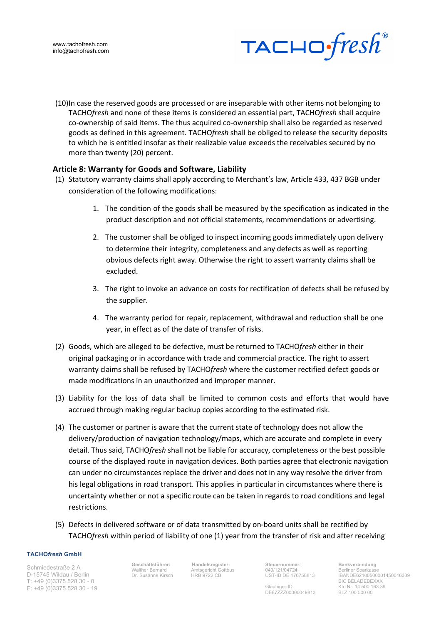

(10)In case the reserved goods are processed or are inseparable with other items not belonging to TACHO*fresh* and none of these items is considered an essential part, TACHO*fresh* shall acquire co-ownership of said items. The thus acquired co-ownership shall also be regarded as reserved goods as defined in this agreement. TACHO*fresh* shall be obliged to release the security deposits to which he is entitled insofar as their realizable value exceeds the receivables secured by no more than twenty (20) percent.

# **Article 8: Warranty for Goods and Software, Liability**

- (1) Statutory warranty claims shall apply according to Merchant's law, Article 433, 437 BGB under consideration of the following modifications:
	- 1. The condition of the goods shall be measured by the specification as indicated in the product description and not official statements, recommendations or advertising.
	- 2. The customer shall be obliged to inspect incoming goods immediately upon delivery to determine their integrity, completeness and any defects as well as reporting obvious defects right away. Otherwise the right to assert warranty claims shall be excluded.
	- 3. The right to invoke an advance on costs for rectification of defects shall be refused by the supplier.
	- 4. The warranty period for repair, replacement, withdrawal and reduction shall be one year, in effect as of the date of transfer of risks.
- (2) Goods, which are alleged to be defective, must be returned to TACHO*fresh* either in their original packaging or in accordance with trade and commercial practice. The right to assert warranty claims shall be refused by TACHO*fresh* where the customer rectified defect goods or made modifications in an unauthorized and improper manner.
- (3) Liability for the loss of data shall be limited to common costs and efforts that would have accrued through making regular backup copies according to the estimated risk.
- (4) The customer or partner is aware that the current state of technology does not allow the delivery/production of navigation technology/maps, which are accurate and complete in every detail. Thus said, TACHO*fresh* shall not be liable for accuracy, completeness or the best possible course of the displayed route in navigation devices. Both parties agree that electronic navigation can under no circumstances replace the driver and does not in any way resolve the driver from his legal obligations in road transport. This applies in particular in circumstances where there is uncertainty whether or not a specific route can be taken in regards to road conditions and legal restrictions.
- (5) Defects in delivered software or of data transmitted by on-board units shall be rectified by TACHO*fresh* within period of liability of one (1) year from the transfer of risk and after receiving

#### **TACHO***fresh* **GmbH**

Schmiedestraße 2 A D-15745 Wildau / Berlin T: +49 (0)3375 528 30 - 0 F: +49 (0)3375 528 30 - 19 **Geschäftsführer:** Walther Bernard Dr. Susanne Kirsch

**Handelsregister:**  Amtsgericht Cottbus HRB 9722 CB

**Steuernummer:** 049/121/04724 UST-ID DE 176758813

Gläubiger-ID: DE87ZZZ00000049813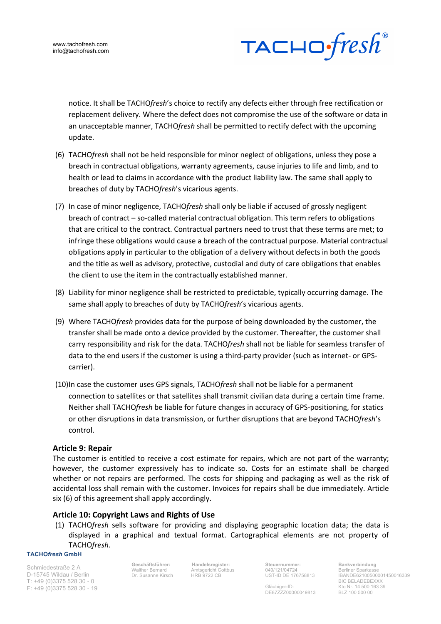

notice. It shall be TACHO*fresh*'s choice to rectify any defects either through free rectification or replacement delivery. Where the defect does not compromise the use of the software or data in an unacceptable manner, TACHO*fresh* shall be permitted to rectify defect with the upcoming update.

- (6) TACHO*fresh* shall not be held responsible for minor neglect of obligations, unless they pose a breach in contractual obligations, warranty agreements, cause injuries to life and limb, and to health or lead to claims in accordance with the product liability law. The same shall apply to breaches of duty by TACHO*fresh*'s vicarious agents.
- (7) In case of minor negligence, TACHO*fresh* shall only be liable if accused of grossly negligent breach of contract – so-called material contractual obligation. This term refers to obligations that are critical to the contract. Contractual partners need to trust that these terms are met; to infringe these obligations would cause a breach of the contractual purpose. Material contractual obligations apply in particular to the obligation of a delivery without defects in both the goods and the title as well as advisory, protective, custodial and duty of care obligations that enables the client to use the item in the contractually established manner.
- (8) Liability for minor negligence shall be restricted to predictable, typically occurring damage. The same shall apply to breaches of duty by TACHO*fresh*'s vicarious agents.
- (9) Where TACHO*fresh* provides data for the purpose of being downloaded by the customer, the transfer shall be made onto a device provided by the customer. Thereafter, the customer shall carry responsibility and risk for the data. TACHO*fresh* shall not be liable for seamless transfer of data to the end users if the customer is using a third-party provider (such as internet- or GPScarrier).
- (10)In case the customer uses GPS signals, TACHO*fresh* shall not be liable for a permanent connection to satellites or that satellites shall transmit civilian data during a certain time frame. Neither shall TACHO*fresh* be liable for future changes in accuracy of GPS-positioning, for statics or other disruptions in data transmission, or further disruptions that are beyond TACHO*fresh*'s control.

# **Article 9: Repair**

The customer is entitled to receive a cost estimate for repairs, which are not part of the warranty; however, the customer expressively has to indicate so. Costs for an estimate shall be charged whether or not repairs are performed. The costs for shipping and packaging as well as the risk of accidental loss shall remain with the customer. Invoices for repairs shall be due immediately. Article six (6) of this agreement shall apply accordingly.

# **Article 10: Copyright Laws and Rights of Use**

(1) TACHO*fresh* sells software for providing and displaying geographic location data; the data is displayed in a graphical and textual format. Cartographical elements are not property of TACHO*fresh*.

### **TACHO***fresh* **GmbH**

Schmiedestraße 2 A D-15745 Wildau / Berlin T: +49 (0)3375 528 30 - 0 F: +49 (0)3375 528 30 - 19 **Geschäftsführer:** Walther Bernard Dr. Susanne Kirsch

**Handelsregister:**  Amtsgericht Cottbus HRB 9722 CB

**Steuernummer:** 049/121/04724 UST-ID DE 176758813

Gläubiger-ID: DE87ZZZ00000049813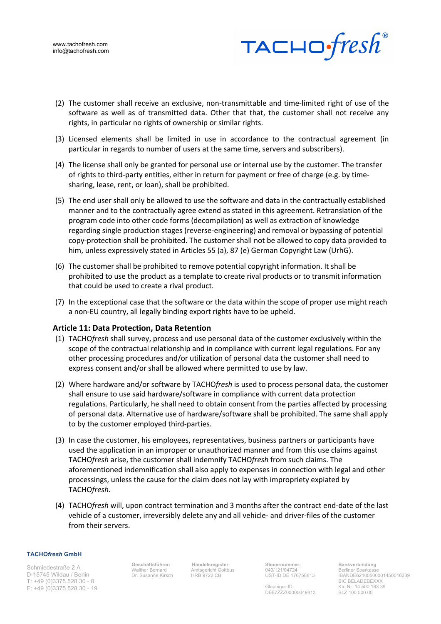



- (2) The customer shall receive an exclusive, non-transmittable and time-limited right of use of the software as well as of transmitted data. Other that that, the customer shall not receive any rights, in particular no rights of ownership or similar rights.
- (3) Licensed elements shall be limited in use in accordance to the contractual agreement (in particular in regards to number of users at the same time, servers and subscribers).
- (4) The license shall only be granted for personal use or internal use by the customer. The transfer of rights to third-party entities, either in return for payment or free of charge (e.g. by timesharing, lease, rent, or loan), shall be prohibited.
- (5) The end user shall only be allowed to use the software and data in the contractually established manner and to the contractually agree extend as stated in this agreement. Retranslation of the program code into other code forms (decompilation) as well as extraction of knowledge regarding single production stages (reverse-engineering) and removal or bypassing of potential copy-protection shall be prohibited. The customer shall not be allowed to copy data provided to him, unless expressively stated in Articles 55 (a), 87 (e) German Copyright Law (UrhG).
- (6) The customer shall be prohibited to remove potential copyright information. It shall be prohibited to use the product as a template to create rival products or to transmit information that could be used to create a rival product.
- (7) In the exceptional case that the software or the data within the scope of proper use might reach a non-EU country, all legally binding export rights have to be upheld.

### **Article 11: Data Protection, Data Retention**

- (1) TACHO*fresh* shall survey, process and use personal data of the customer exclusively within the scope of the contractual relationship and in compliance with current legal regulations. For any other processing procedures and/or utilization of personal data the customer shall need to express consent and/or shall be allowed where permitted to use by law.
- (2) Where hardware and/or software by TACHO*fresh* is used to process personal data, the customer shall ensure to use said hardware/software in compliance with current data protection regulations. Particularly, he shall need to obtain consent from the parties affected by processing of personal data. Alternative use of hardware/software shall be prohibited. The same shall apply to by the customer employed third-parties.
- (3) In case the customer, his employees, representatives, business partners or participants have used the application in an improper or unauthorized manner and from this use claims against TACHO*fresh* arise, the customer shall indemnify TACHO*fresh* from such claims. The aforementioned indemnification shall also apply to expenses in connection with legal and other processings, unless the cause for the claim does not lay with impropriety expiated by TACHO*fresh*.
- (4) TACHO*fresh* will, upon contract termination and 3 months after the contract end-date of the last vehicle of a customer, irreversibly delete any and all vehicle- and driver-files of the customer from their servers.

#### **TACHO***fresh* **GmbH**

Schmiedestraße 2 A D-15745 Wildau / Berlin T: +49 (0)3375 528 30 - 0 F: +49 (0)3375 528 30 - 19 **Geschäftsführer:** Walther Bernard Dr. Susanne Kirsch

**Handelsregister:**  Amtsgericht Cottbus HRB 9722 CB

**Steuernummer:** 049/121/04724 UST-ID DE 176758813

Gläubiger-ID: DE87ZZZ00000049813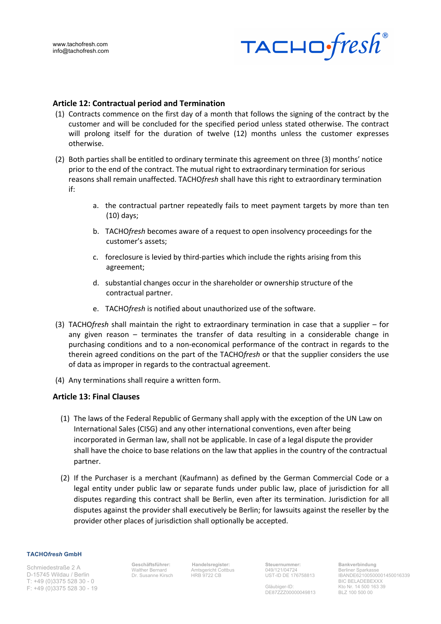

### **Article 12: Contractual period and Termination**

- (1) Contracts commence on the first day of a month that follows the signing of the contract by the customer and will be concluded for the specified period unless stated otherwise. The contract will prolong itself for the duration of twelve (12) months unless the customer expresses otherwise.
- (2) Both parties shall be entitled to ordinary terminate this agreement on three (3) months' notice prior to the end of the contract. The mutual right to extraordinary termination for serious reasons shall remain unaffected. TACHO*fresh* shall have this right to extraordinary termination if:
	- a. the contractual partner repeatedly fails to meet payment targets by more than ten (10) days;
	- b. TACHO*fresh* becomes aware of a request to open insolvency proceedings for the customer's assets;
	- c. foreclosure is levied by third-parties which include the rights arising from this agreement;
	- d. substantial changes occur in the shareholder or ownership structure of the contractual partner.
	- e. TACHO*fresh* is notified about unauthorized use of the software.
- (3) TACHO*fresh* shall maintain the right to extraordinary termination in case that a supplier for any given reason – terminates the transfer of data resulting in a considerable change in purchasing conditions and to a non-economical performance of the contract in regards to the therein agreed conditions on the part of the TACHO*fresh* or that the supplier considers the use of data as improper in regards to the contractual agreement.
- (4) Any terminations shall require a written form.

# **Article 13: Final Clauses**

- (1) The laws of the Federal Republic of Germany shall apply with the exception of the UN Law on International Sales (CISG) and any other international conventions, even after being incorporated in German law, shall not be applicable. In case of a legal dispute the provider shall have the choice to base relations on the law that applies in the country of the contractual partner.
- (2) If the Purchaser is a merchant (Kaufmann) as defined by the German Commercial Code or a legal entity under public law or separate funds under public law, place of jurisdiction for all disputes regarding this contract shall be Berlin, even after its termination. Jurisdiction for all disputes against the provider shall executively be Berlin; for lawsuits against the reseller by the provider other places of jurisdiction shall optionally be accepted.

#### **TACHO***fresh* **GmbH**

Schmiedestraße 2 A D-15745 Wildau / Berlin T: +49 (0)3375 528 30 - 0 F: +49 (0)3375 528 30 - 19 **Geschäftsführer:** Walther Bernard Dr. Susanne Kirsch

**Handelsregister:**  Amtsgericht Cottbus HRB 9722 CB

**Steuernummer:** 049/121/04724 UST-ID DE 176758813

Gläubiger-ID: DE87ZZZ00000049813